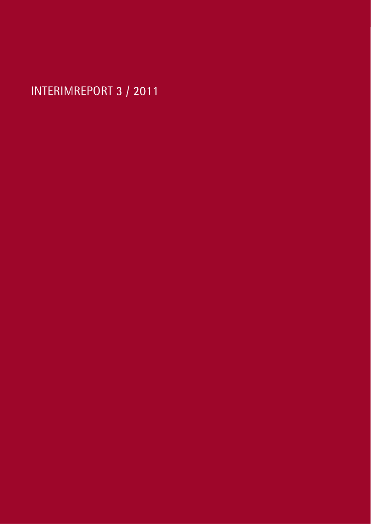INTERIMREPORT 3 / 2011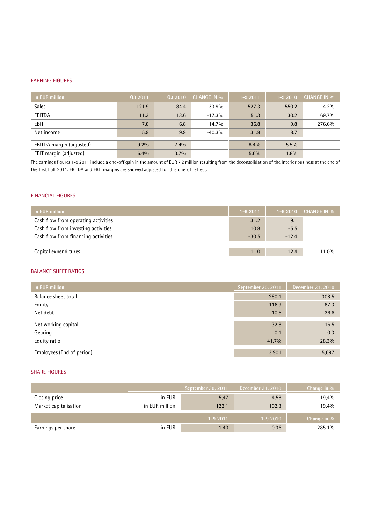#### EARNING FIGURES

| in EUR million           | Q3 2011 | Q3 2010 | <b>CHANGE IN %</b> | 1-9 2011 | $1 - 92010$ | <b>CHANGE IN %</b> |
|--------------------------|---------|---------|--------------------|----------|-------------|--------------------|
| <b>Sales</b>             | 121.9   | 184.4   | $-33.9%$           | 527.3    | 550.2       | $-4.2%$            |
| EBITDA                   | 11.3    | 13.6    | $-17.3%$           | 51.3     | 30.2        | 69.7%              |
| <b>EBIT</b>              | 7.8     | 6.8     | 14.7%              | 36.8     | 9.8         | 276.6%             |
| Net income               | 5.9     | 9.9     | $-40.3%$           | 31.8     | 8.7         |                    |
| EBITDA margin (adjusted) | $9.2\%$ | 7.4%    |                    | 8.4%     | $5.5\%$     |                    |
| EBIT margin (adjusted)   | 6.4%    | $3.7\%$ |                    | 5.6%     | 1.8%        |                    |

The earnings figures 1-9 2011 include a one-off gain in the amount of EUR 7.2 million resulting from the deconsolidation of the Interior business at the end of the first half 2011. EBITDA and EBIT margins are showed adjusted for this one-off effect.

#### FINANCIAL FIGURES

| in EUR million                      | $1 - 92011$ |         | $1-92010$ CHANGE IN $\%$ |
|-------------------------------------|-------------|---------|--------------------------|
| Cash flow from operating activities | 31.2        | 9.1     |                          |
| Cash flow from investing activities | 10.8        | $-5.5$  |                          |
| Cash flow from financing activities | $-30.5$     | $-12.4$ |                          |
|                                     |             |         |                          |
| Capital expenditures                | 11.0        | 12.4    | $-11.0%$                 |
|                                     |             |         |                          |

#### BALANCE SHEET RATIOS

| in EUR million            | September 30, 2011 | December 31, 2010 |
|---------------------------|--------------------|-------------------|
| Balance sheet total       | 280.1              | 308.5             |
| Equity                    | 116.9              | 87.3              |
| Net debt                  | $-10.5$            | 26.6              |
| Net working capital       | 32.8               | 16.5              |
|                           |                    |                   |
| Gearing                   | $-0.1$             | 0.3               |
| Equity ratio              | 41.7%              | 28.3%             |
|                           |                    |                   |
| Employees (End of period) | 3,901              | 5,697             |

#### SHARE FIGURES

|                       |                         | September 30, 2011 | December 31, 2010 | Change in % |
|-----------------------|-------------------------|--------------------|-------------------|-------------|
| Closing price         | in EUR                  | 5,47               | 4,58              | 19,4%       |
| Market capitalisation | in EUR million<br>122.1 |                    | 102.3             | 19.4%       |
|                       |                         | $1 - 92011$        | $1 - 92010$       | Change in % |
| Earnings per share    | in EUR                  | 1.40               | 0.36              | 285.1%      |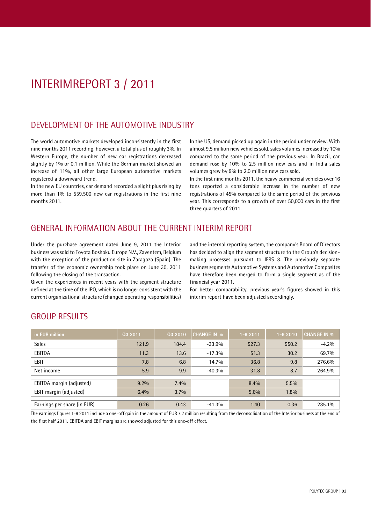# INTERIMREPORT 3 / 2011

### DEVELOPMENT OF THE AUTOMOTIVE INDUSTRY

The world automotive markets developed inconsistently in the first nine months 2011 recording, however, a total plus of roughly 3%.In Western Europe, the number of new car registrations decreased slightly by 1% or 0.1 million. While the German market showed an increase of 11%, all other large European automotive markets registered a downward trend.

In the new EU countries, car demand recorded a slight plus rising by more than 1% to 559,500 new car registrations in the first nine months 2011.

In the US, demand picked up again in the period under review. With almost 9.5 million new vehicles sold, sales volumes increased by 10% compared to the same period of the previous year. In Brazil, car demand rose by 10% to 2.5 million new cars and in India sales volumes grew by 9% to 2.0 million new cars sold.

In the first nine months 2011, the heavy commercial vehicles over 16 tons reported a considerable increase in the number of new registrations of 45% compared to the same period of the previous year. This corresponds to a growth of over 50,000 cars in the first three quarters of 2011.

### GENERAL INFORMATION ABOUT THE CURRENT INTERIM REPORT

Under the purchase agreement dated June 9, 2011 the Interior business was sold to Toyota Boshoku Europe N.V., Zaventem, Belgium with the exception of the production site in Zaragoza (Spain). The transfer of the economic ownership took place on June 30, 2011 following the closing of the transaction.

Given the experiences in recent years with the segment structure defined at the time of the IPO, which is no longer consistent with the current organizational structure (changed operating responsibilities) and the internal reporting system, the company's Board of Directors has decided to align the segment structure to the Group's decisionmaking processes pursuant to IFRS 8. The previously separate business segments Automotive Systems and Automotive Composites have therefore been merged to form a single segment as of the financial year 2011.

For better comparability, previous year's figures showed in this interim report have been adjusted accordingly.

| in EUR million              | 03 2011 | 03 2010 | <b>CHANGE IN %</b> | 1-9 2011 | $1 - 92010$ | <b>CHANGE IN %</b> |
|-----------------------------|---------|---------|--------------------|----------|-------------|--------------------|
| <b>Sales</b>                | 121.9   | 184.4   | $-33.9%$           | 527.3    | 550.2       | $-4.2%$            |
| EBITDA                      | 11.3    | 13.6    | $-17.3%$           | 51.3     | 30.2        | 69.7%              |
| <b>EBIT</b>                 | 7.8     | 6.8     | 14.7%              | 36.8     | 9.8         | 276.6%             |
| Net income                  | 5.9     | 9.9     | $-40.3%$           | 31.8     | 8.7         | 264.9%             |
|                             |         |         |                    |          |             |                    |
| EBITDA margin (adjusted)    | $9.2\%$ | $7.4\%$ |                    | 8.4%     | $5.5\%$     |                    |
| EBIT margin (adjusted)      | 6.4%    | $3.7\%$ |                    | 5.6%     | 1.8%        |                    |
|                             |         |         |                    |          |             |                    |
| Earnings per share (in EUR) | 0.26    | 0.43    | $-41.3%$           | 1.40     | 0.36        | 285.1%             |

### GROUP RESULTS

The earnings figures 1-9 2011 include a one-off gain in the amount of EUR 7.2 million resulting from the deconsolidation of the Interior business at the end of the first half 2011. EBITDA and EBIT margins are showed adjusted for this one-off effect.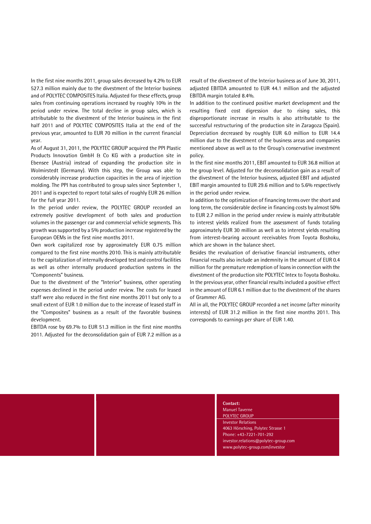In the first nine months 2011, group sales decreased by 4.2% to EUR 527.3 million mainly due to the divestment of the Interior business and of POLYTEC COMPOSITES Italia. Adjusted for these effects, group sales from continuing operations increased by roughly 10% in the period under review. The total decline in group sales, which is attributable to the divestment of the Interior business in the first half 2011 and of POLYTEC COMPOSITES Italia at the end of the previous year, amounted to EUR 70 million in the current financial year.

As of August 31, 2011, the POLYTEC GROUP acquired the PPI Plastic Products Innovation GmbH & Co KG with a production site in Ebensee (Austria) instead of expanding the production site in Wolmirstedt (Germany). With this step, the Group was able to considerably increase production capacities in the area of injection molding. The PPI has contributed to group sales since September 1,2011 and is expected to report total sales of roughly EUR <sup>26</sup> million for the full year 2011.

In the period under review, the POLYTEC GROUP recorded an extremely positive development of both sales and production volumes in the passenger car and commercial vehicle segments. This growth was supported by a 5% production increase registered by the European OEMs in the first nine months 2011.

Own work capitalized rose by approximately EUR 0.75 million compared to the first nine months 2010. This is mainly attributable to the capitalization of internally developed test and control facilities as well as other internally produced production systems in the "Components" business.

Due to the divestment of the "Interior" business, other operating expenses declined in the period under review. The costs for leased staff were also reduced in the first nine months 2011 but only to a small extent of EUR 1.0 million due to the increase of leased staff in the "Composites" business as a result of the favorable business development.

EBITDA rose by 69.7% to EUR 51.3 million in the first nine months 2011. Adjusted for the deconsolidation gain of EUR 7.2 million as a

result of the divestment of the Interior business as of June 30, 2011, adjusted EBITDA amounted to EUR 44.1 million and the adjusted EBITDA margin totaled 8.4%.

In addition to the continued positive market development and the resulting fixed cost digression due to rising sales, this disproportionate increase in results is also attributable to the successful restructuring of the production site in Zaragoza (Spain). Depreciation decreased by roughly EUR 6.0 million to EUR 14.4 million due to the divestment of the business areas and companies mentioned above as well as to the Group's conservative investment policy.

In the first nine months 2011, EBIT amounted to EUR 36.8 million at the group level. Adjusted for the deconsolidation gain as a result of the divestment of the Interior business, adjusted EBIT and adjusted EBIT margin amounted to EUR 29.6 million and to 5.6% respectively in the period under review.

In addition to the optimization of financing terms over the short and long term, the considerable decline in financing costs by almost 50% to EUR 2.7 million in the period under review is mainly attributable to interest yields realized from the assessment of funds totaling approximately EUR 30 million as well as to interest yields resulting from interest-bearing account receivables from Toyota Boshoku, which are shown in the balance sheet.

Besides the revaluation of derivative financial instruments, other financial results also include an indemnity in the amount of EUR 0.4 million for the premature redemption of loans in connection with the divestment of the production site POLYTEC Intex to Toyota Boshoku. In the previous year, other financial results included a positive effect in the amount of EUR 6.1 million due to the divestment of the shares of Grammer AG.

All in all, the POLYTEC GROUP recorded a net income (after minority interests) of EUR 31.2 million in the first nine months 2011. This corresponds to earnings per share of EUR 1.40.

> **Contact:**Manuel Taverne POLYTEC GROUP Investor Relations 4063 Hörsching, Polytec Strasse 1 Phone: +43-7221-701-292 [investor.relations@polytec-group.com](mailto:investor.relations@polytec-group.com) [www.polytec-group.com/investor](http://www.polytec-group.com/investor)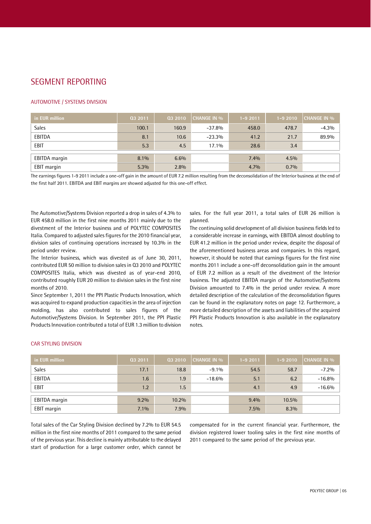### SEGMENT REPORTING

#### AUTOMOTIVE / SYSTEMS DIVISION

| in EUR million | 03 2011 | 03 2010 | <b>CHANGE IN %</b> | $1 - 92011$ | $1 - 92010$ | <b>CHANGE IN %</b> |
|----------------|---------|---------|--------------------|-------------|-------------|--------------------|
| Sales          | 100.1   | 160.9   | $-37.8%$           | 458.0       | 478.7       | $-4.3%$            |
| EBITDA         | 8.1     | 10.6    | $-23.3%$           | 41.2        | 21.7        | 89.9%              |
| <b>EBIT</b>    | 5.3     | 4.5     | 17.1%              | 28.6        | 3.4         |                    |
|                |         |         |                    |             |             |                    |
| EBITDA margin  | 8.1%    | 6.6%    |                    | 7.4%        | 4.5%        |                    |
| EBIT margin    | $5.3\%$ | 2.8%    |                    | 4.7%        | $0.7\%$     |                    |

The earnings figures 1-9 2011 include a one-off gain in the amount of EUR 7.2 million resulting from the deconsolidation of the Interior business at the end of the first half 2011. EBITDA and EBIT margins are showed adjusted for this one-off effect.

The Automotive/Systems Division reported a drop in sales of 4.3% to EUR 458.0 million in the first nine months 2011 mainly due to the divestment of the Interior business and of POLYTEC COMPOSITES Italia. Compared to adjusted sales figures for the 2010 financial year, division sales of continuing operations increased by 10.3% in the period under review.

The Interior business, which was divested as of June 30, 2011, contributed EUR 50 million to division sales in Q3 2010 and POLYTEC COMPOSITES Italia, which was divested as of year-end 2010, contributed roughly EUR 20 million to division sales in the first nine months of 2010.

Since September 1,2011 the PPI Plastic Products Innovation, which was acquired to expand production capacities in the area of injection molding, has also contributed to sales figures of the Automotive/Systems Division. In September 2011, the PPI Plastic Products Innovation contributed a total of EUR 1.3 million to division sales. For the full year 2011, a total sales of EUR 26 million is planned.

The continuing solid development of all division business fields led to a considerable increase in earnings, with EBITDA almost doubling to EUR 41.2 million in the period under review, despite the disposal of the aforementioned business areas and companies. In this regard, however, it should be noted that earnings figures for the first nine months 2011 include a one-off deconsolidation gain in the amount of EUR 7.2 million as a result of the divestment of the Interior business. The adjusted EBITDA margin of the Automotive/Systems Division amounted to 7.4% in the period under review. A more detailed description of the calculation of the deconsolidation figures can be found in the explanatory notes on page 12. Furthermore, a more detailed description of the assets and liabilities of the acquired PPI Plastic Products Innovation is also available in the explanatory notes.

#### CAR STYLING DIVISION

| in EUR million | 03 2011 | 03 2010 | <b>CHANGE IN %</b> | $1 - 92011$ | $1 - 92010$ | <b>CHANGE IN %</b> |
|----------------|---------|---------|--------------------|-------------|-------------|--------------------|
| Sales          | 17.1    | 18.8    | $-9.1\%$           | 54.5        | 58.7        | $-7.2%$            |
| EBITDA         | 1.6     | 1.9     | $-18.6%$           | 5.1         | 6.2         | $-16.8%$           |
| EBIT           | 1.2     | 1.5     |                    | 4.1         | 4.9         | $-16.6%$           |
| EBITDA margin  | $9.2\%$ | 10.2%   |                    | $9.4\%$     | 10.5%       |                    |
|                |         |         |                    |             |             |                    |
| EBIT margin    | $7.1\%$ | 7.9%    |                    | $7.5\%$     | 8.3%        |                    |

Total sales of the Car Styling Division declined by 7.2% to EUR 54.5 million in the first nine months of 2011 compared to the same period of the previous year. This decline is mainly attributable to the delayed start of production for a large customer order, which cannot be compensated for in the current financial year. Furthermore, the division registered lower tooling sales in the first nine months of 2011 compared to the same period of the previous year.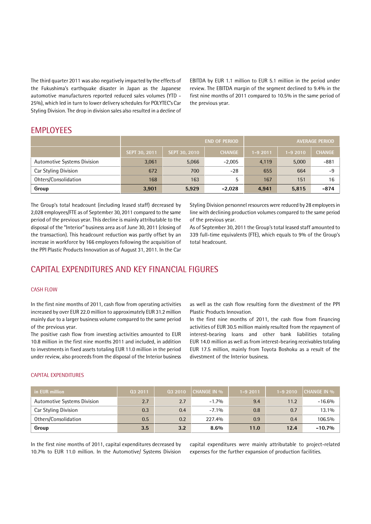The third quarter 2011 was also negatively impacted by the effects of the Fukushimaís earthquake disaster in Japan as the Japanese automotive manufacturers reported reduced sales volumes (YTD - 25%), which led in turn to lower delivery schedules for POLYTEC's Car Styling Division. The drop in division sales also resulted in a decline of EBITDA by EUR 1.1 million to EUR 5.1 million in the period under review. The EBITDA margin of the segment declined to 9.4% in the first nine months of 2011 compared to 10.5% in the same period of the previous year.

### EMPLOYEES

|                                    |               | <b>END OF PERIOD</b> | <b>AVERAGE PERIOD</b> |             |             |               |
|------------------------------------|---------------|----------------------|-----------------------|-------------|-------------|---------------|
|                                    | SEPT 30, 2011 | SEPT 30, 2010        | <b>CHANGE</b>         | $1 - 92011$ | $1 - 92010$ | <b>CHANGE</b> |
| <b>Automotive Systems Division</b> | 3,061         | 5,066                | $-2,005$              | 4,119       | 5,000       | $-881$        |
| Car Styling Division               | 672           | 700                  | $-28$                 | 655         | 664         | -9            |
| Ohters/Consolidation               | 168           | 163                  |                       | 167         | 151         | 16            |
| Group                              | 3,901         | 5,929                | $-2,028$              | 4,941       | 5,815       | $-874$        |

The Group's total headcount (including leased staff) decreased by 2,028 employees/FTE as of September 30, 2011 compared to the same period of the previous year. This decline is mainly attributable to the disposal of the "Interior" business area as of June 30, 2011 (closing of the transaction). This headcount reduction was partly offset by an increase in workforce by 166 employees following the acquisition of the PPI Plastic Products Innovation as of August 31, 2011. In the Car Styling Division personnel resources were reduced by 28 employeesin line with declining production volumes compared to the same period of the previous year.

As of September 30, 2011 the Group's total leased staff amounted to 339 full-time equivalents (FTE), which equals to 9% of the Groupís total headcount.

### CAPITAL EXPENDITURES AND KEY FINANCIAL FIGURES

#### CASH FLOW

In the first nine months of 2011, cash flow from operating activities increased by over EUR 22.0 million to approximately EUR 31.2 million mainly due to a larger business volume compared to the same period of the previous year.

The positive cash flow from investing activities amounted to EUR 10.8 million in the first nine months 2011 and included, in addition to investments in fixed assets totaling EUR 11.0 million in the period under review, also proceeds from the disposal of the Interior business as well as the cash flow resulting form the divestment of the PPI Plastic Products Innovation.

In the first nine months of 2011, the cash flow from financing activities of EUR 30.5 million mainly resulted from the repayment of interest-bearing loans and other bank liabilities totaling EUR 14.0 million as well as from interest-bearing receivables totaling EUR 17.5 million, mainly from Toyota Boshoku as a result of the divestment of the Interior business.

| in EUR million                     | 03 2011 | Q3 2010 | <b>CHANGE IN %</b> | $1 - 92011$ | $1 - 92010$ | <b>CHANGE IN %</b> |
|------------------------------------|---------|---------|--------------------|-------------|-------------|--------------------|
| <b>Automotive Systems Division</b> | 2.7     | 2.7     | $-1.7%$            | 9.4         | 11.2        | $-16.6%$           |
| Car Styling Division               | 0.3     | 0.4     | $-7.1\%$           | 0.8         | 0.7         | 13.1%              |
| Others/Consolidation               | 0.5     | 0.2     | 227.4%             | 0.9         | 0.4         | 106.5%             |
| Group                              | 3.5     | 3.2     | 8.6%               | 11.0        | 12.4        | $-10.7%$           |

#### CAPITAL EXPENDITURES

In the first nine months of 2011, capital expenditures decreased by 10.7% to EUR 11.0 million. In the Automotive/ Systems Division

capital expenditures were mainly attributable to project-related expenses for the further expansion of production facilities.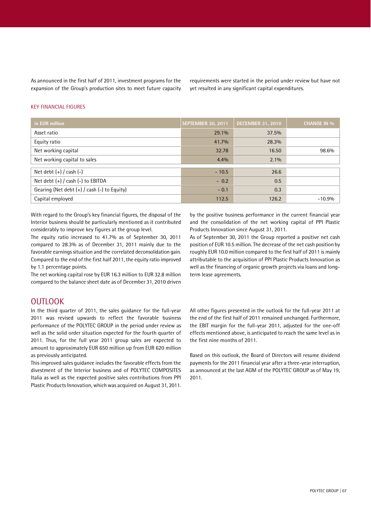As announced in the first half of 2011, investment programs for the expansion of the Group's production sites to meet future capacity requirements were started in the period under review but have not yet resulted in any significant capital expenditures.

#### KEY FINANCIAL FIGURES

| in EUR million                              | <b>SEPTEMBER 30, 2011</b> | <b>DECEMBER 31, 2010</b> | <b>CHANGE IN %</b> |
|---------------------------------------------|---------------------------|--------------------------|--------------------|
| Asset ratio                                 | 29.1%                     | 37.5%                    |                    |
| Equity ratio                                | 41.7%                     | 28.3%                    |                    |
| Net working capital                         | 32.78                     | 16.50                    | 98.6%              |
| Net working capital to sales                | 4.4%                      | $2.1\%$                  |                    |
| Net debt $(+)$ / cash $(-)$                 | $-10.5$                   | 26.6                     |                    |
| Net debt $(+)$ / cash $(-)$ to EBITDA       | $-0.2$                    | 0.5                      |                    |
| Gearing (Net debt (+) / cash (-) to Equity) | $-0.1$                    | 0.3                      |                    |
| Capital employed                            | 112.5                     | 126.2                    | $-10.9%$           |

With regard to the Group's key financial figures, the disposal of the Interior business should be particularly mentioned as it contributed considerably to improve key figures at the group level.

The equity ratio increased to 41.7% as of September 30, 2011 compared to 28.3% as of December 31, 2011 mainly due to the favorable earnings situation and the correlated deconsolidation gain. Compared to the end of the first half 2011, the equity ratio improved by 1.1 percentage points.

The net working capital rose by EUR 16.3 million to EUR 32.8 million compared to the balance sheet date as of December 31, 2010 driven

### **OUTLOOK**

In the third quarter of 2011, the sales guidance for the full-year 2011 was revised upwards to reflect the favorable business performance of the POLYTEC GROUP in the period under review as well as the solid order situation expected for the fourth quarter of 2011. Thus, for the full year 2011 group sales are expected to amount to approximately EUR 650 million up from EUR 620 million as previously anticipated.

This improved sales guidance includes the favorable effects from the divestment of the Interior business and of POLYTEC COMPOSITES Italia as well as the expected positive sales contributions from PPI Plastic Products Innovation, which was acquired on August 31, 2011. by the positive business performance in the current financial year and the consolidation of the net working capital of PPI Plastic Products Innovation since August 31, 2011.

As of September 30, 2011 the Group reported a positive net cash position of EUR 10.5 million. The decrease of the net cash position by roughly EUR 10.0 million compared to the first half of 2011 is mainly attributable to the acquisition of PPI Plastic Products Innovation as well as the financing of organic growth projects via loans and longterm lease agreements.

All other figures presented in the outlook for the full-year 2011 at the end of the first half of 2011 remained unchanged. Furthermore, the EBIT margin for the full-year 2011, adjusted for the one-off effects mentioned above, is anticipated to reach the same level as in the first nine months of 2011.

Based on this outlook, the Board of Directors will resume dividend payments for the 2011 financial year after a three-year interruption, as announced at the last AGM of the POLYTEC GROUP as of May 19, 2011.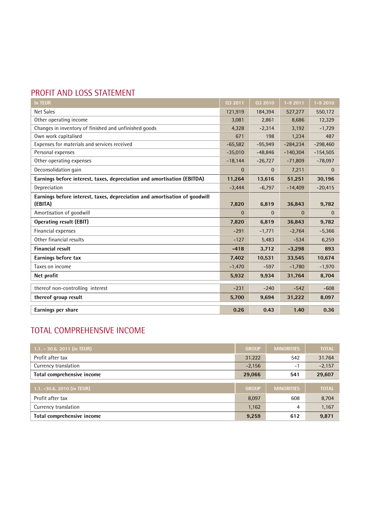# PROFIT AND LOSS STATEMENT

| <b>In TEUR</b>                                                                        | 032011       | Q3 2010      | $1 - 92011$  | $1 - 92010$  |
|---------------------------------------------------------------------------------------|--------------|--------------|--------------|--------------|
| <b>Net Sales</b>                                                                      | 121,919      | 184,394      | 527,277      | 550,172      |
| Other operating income                                                                | 3,081        | 2,861        | 8,686        | 12,329       |
| Changes in inventory of finished and unfinished goods                                 | 4,328        | $-2,314$     | 3,192        | $-1,729$     |
| Own work capitalised                                                                  | 671          | 198          | 1,234        | 487          |
| Expenses for materials and services received                                          | $-65,582$    | $-95,949$    | $-284,234$   | $-298,460$   |
| Personal expenses                                                                     | $-35,010$    | $-48,846$    | $-140,304$   | $-154,505$   |
| Other operating expenses                                                              | $-18,144$    | $-26,727$    | $-71,809$    | $-78,097$    |
| Deconsolidation gain                                                                  | $\mathbf{0}$ | $\mathbf{0}$ | 7,211        | $\mathbf{0}$ |
| Earnings before interest, taxes, depreciation and amortisation (EBITDA)               | 11,264       | 13.616       | 51.251       | 30,196       |
| Depreciation                                                                          | $-3,444$     | $-6,797$     | $-14,409$    | $-20,415$    |
| Earnings before interest, taxes, depreciation and amortisation of qoodwill<br>(EBITA) | 7,820        | 6,819        | 36,843       | 9,782        |
| Amortisation of goodwill                                                              | $\mathbf{0}$ | $\Omega$     | $\mathbf{0}$ | $\mathbf{0}$ |
| <b>Operating result (EBIT)</b>                                                        | 7,820        | 6,819        | 36,843       | 9,782        |
| Financial expenses                                                                    | $-291$       | $-1,771$     | $-2,764$     | $-5,366$     |
| Other financial results                                                               | $-127$       | 5,483        | $-534$       | 6,259        |
| <b>Financial result</b>                                                               | $-418$       | 3,712        | $-3,298$     | 893          |
| Earnings before tax                                                                   | 7,402        | 10,531       | 33,545       | 10,674       |
| Taxes on income                                                                       | $-1,470$     | $-597$       | $-1,780$     | $-1,970$     |
| Net profit                                                                            | 5,932        | 9,934        | 31,764       | 8,704        |
| thereof non-controlling interest                                                      | $-231$       | $-240$       | $-542$       | $-608$       |
| thereof group result                                                                  | 5,700        | 9,694        | 31,222       | 8,097        |
| Earnings per share                                                                    | 0.26         | 0.43         | 1.40         | 0.36         |

# TOTAL COMPREHENSIVE INCOME

| 1.1. - 30.6. 2011 (in TEUR) | <b>GROUP</b> | <b>MINORITIES</b> | <b>TOTAL</b> |
|-----------------------------|--------------|-------------------|--------------|
| Profit after tax            | 31.222       | 542               | 31.764       |
| Currency translation        | $-2,156$     | $-1$              | $-2,157$     |
| Total comprehensive income  | 29,066       | 541               | 29,607       |
|                             |              |                   |              |
| 1.1. -30.6. 2010 (in TEUR)  | <b>GROUP</b> | <b>MINORITIES</b> | <b>TOTAL</b> |
| Profit after tax            | 8,097        | 608               | 8,704        |
| Currency translation        | 1,162        | 4                 | 1,167        |
| Total comprehensive income  | 9,259        | 612               | 9,871        |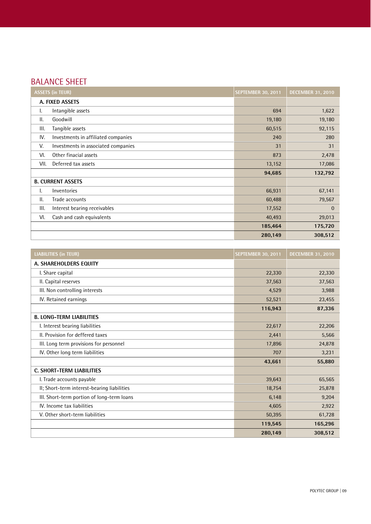# BALANCE SHEET

| <b>ASSETS (in TEUR)</b>                    | <b>SEPTEMBER 30, 2011</b> | <b>DECEMBER 31, 2010</b> |
|--------------------------------------------|---------------------------|--------------------------|
| A. FIXED ASSETS                            |                           |                          |
| Intangible assets<br>I.                    | 694                       | 1,622                    |
| Ш.<br>Goodwill                             | 19,180                    | 19,180                   |
| III.<br>Tangible assets                    | 60,515                    | 92,115                   |
| IV.<br>Investments in affiliated companies | 240                       | 280                      |
| V.<br>Investments in associated companies  | 31                        | 31                       |
| VI.<br>Other finacial assets               | 873                       | 2,478                    |
| VII.<br>Deferred tax assets                | 13,152                    | 17,086                   |
|                                            | 94,685                    | 132,792                  |
| <b>B. CURRENT ASSETS</b>                   |                           |                          |
| Inventories<br>ı.                          | 66,931                    | 67,141                   |
| Ш.<br>Trade accounts                       | 60,488                    | 79,567                   |
| III.<br>Interest bearing receivables       | 17,552                    | $\mathbf{0}$             |
| Cash and cash equivalents<br>VI.           | 40,493                    | 29,013                   |
|                                            | 185,464                   | 175,720                  |
|                                            | 280,149                   | 308,512                  |

| <b>LIABILITIES (in TEUR)</b>                | <b>SEPTEMBER 30, 2011</b> | <b>DECEMBER 31, 2010</b> |
|---------------------------------------------|---------------------------|--------------------------|
| A. SHAREHOLDERS EQUITY                      |                           |                          |
| I. Share capital                            | 22,330                    | 22,330                   |
| II. Capital reserves                        | 37,563                    | 37,563                   |
| III. Non controlling interests              | 4,529                     | 3,988                    |
| IV. Retained earnings                       | 52,521                    | 23,455                   |
|                                             | 116,943                   | 87,336                   |
| <b>B. LONG-TERM LIABILITIES</b>             |                           |                          |
| I. Interest bearing liabilities             | 22,617                    | 22,206                   |
| II. Provision for deffered taxes            | 2,441                     | 5,566                    |
| III. Long term provisions for personnel     | 17,896                    | 24,878                   |
| IV. Other long term liabilities             | 707                       | 3,231                    |
|                                             | 43,661                    | 55,880                   |
| <b>C. SHORT-TERM LIABILITIES</b>            |                           |                          |
| I. Trade accounts payable                   | 39,643                    | 65,565                   |
| II; Short-term interest-bearing liabilities | 18,754                    | 25,878                   |
| III. Short-term portion of long-term loans  | 6,148                     | 9,204                    |
| IV. Income tax liabilities                  | 4,605                     | 2,922                    |
| V. Other short-term liabilities             | 50,395                    | 61,728                   |
|                                             | 119,545                   | 165,296                  |
|                                             | 280,149                   | 308,512                  |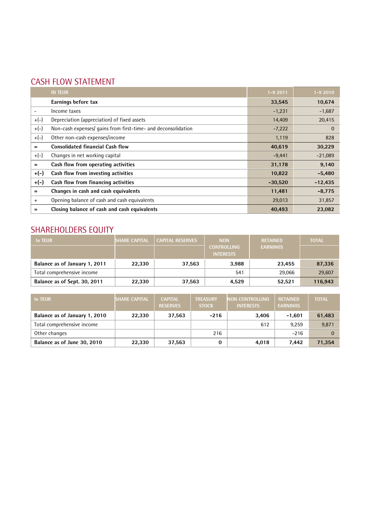# CASH FLOW STATEMENT

|        | <b>IN TEUR</b>                                                | $1 - 92011$ | $1 - 92010$  |
|--------|---------------------------------------------------------------|-------------|--------------|
|        | Earnings before tax                                           | 33,545      | 10,674       |
|        | Income taxes                                                  | $-1,231$    | $-1,687$     |
| $+(-)$ | Depreciation (appreciation) of fixed assets                   | 14,409      | 20,415       |
| $+(-)$ | Non-cash expenses/ gains from first-time- and deconsolidation | $-7,222$    | $\mathbf{0}$ |
| $+(-)$ | Other non-cash expenses/income                                | 1,119       | 828          |
| $=$    | <b>Consolidated financial Cash flow</b>                       | 40,619      | 30,229       |
| $+(-)$ | Changes in net working capital                                | $-9,441$    | $-21,089$    |
| $=$    | Cash flow from operating activities                           | 31,178      | 9,140        |
| $+(-)$ | Cash flow from investing activities                           | 10,822      | $-5,480$     |
| $+(-)$ | Cash flow from financing activities                           | $-30,520$   | $-12,435$    |
| $=$    | Changes in cash and cash equivalents                          | 11,481      | $-8,775$     |
| $+$    | Opening balance of cash and cash equivalents                  | 29,013      | 31,857       |
| =      | Closing balance of cash and cash equivalents                  | 40,493      | 23,082       |

# SHAREHOLDERS EQUITY

| In TEUR                       | SHARE CAPITAL <sup>®</sup> | <b>CAPITAL RESERVES</b> | <b>NON</b><br><b>CONTROLLING</b><br><b>INTERESTS</b> | <b>RETAINED</b><br><b>EARNINGS</b> | <b>TOTAL</b> |
|-------------------------------|----------------------------|-------------------------|------------------------------------------------------|------------------------------------|--------------|
| Balance as of January 1, 2011 | 22.330                     | 37,563                  | 3,988                                                | 23.455                             | 87,336       |
| Total comprehensive income    |                            |                         | 541                                                  | 29,066                             | 29,607       |
| Balance as of Sept. 30, 2011  | 22.330                     | 37,563                  | 4.529                                                | 52,521                             | 116,943      |

| In TEUR                       | <b>SHARE CAPITAL</b> | <b>CAPITAL</b><br><b>RESERVES</b> | <b>TREASURY</b><br><b>STOCK</b> | <b>NON CONTROLLING</b><br><b>INTERESTS</b> | <b>RETAINED</b><br><b>EARNINGS</b> | <b>TOTAL</b> |
|-------------------------------|----------------------|-----------------------------------|---------------------------------|--------------------------------------------|------------------------------------|--------------|
| Balance as of January 1, 2010 | 22,330               | 37,563                            | $-216$                          | 3,406                                      | $-1.601$                           | 61,483       |
| Total comprehensive income    |                      |                                   |                                 | 612                                        | 9.259                              | 9,871        |
| Other changes                 |                      |                                   | 216                             |                                            | $-216$                             |              |
| Balance as of June 30, 2010   | 22,330               | 37,563                            |                                 | 4,018                                      | 7.442                              | 71,354       |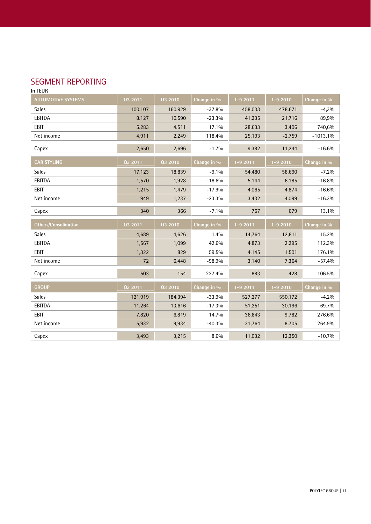### SEGMENT REPORTING

In TEUR

| <b>AUTOMOTIVE SYSTEMS</b>   | Q3 2011 | 03 2010 | Change in % | $1 - 92011$ | $1 - 92010$ | Change in % |
|-----------------------------|---------|---------|-------------|-------------|-------------|-------------|
| Sales                       | 100.107 | 160.929 | $-37,8%$    | 458.033     | 478.671     | $-4,3%$     |
| EBITDA                      | 8.127   | 10.590  | $-23,3%$    | 41.235      | 21.716      | 89,9%       |
| EBIT                        | 5.283   | 4.511   | 17,1%       | 28.633      | 3.406       | 740,6%      |
| Net income                  | 4,911   | 2,249   | 118.4%      | 25,193      | $-2,759$    | $-1013.1%$  |
| Capex                       | 2,650   | 2,696   | $-1.7%$     | 9,382       | 11,244      | $-16.6%$    |
| <b>CAR STYLING</b>          | 03 2011 | Q3 2010 | Change in % | $1 - 92011$ | $1 - 92010$ | Change in % |
| <b>Sales</b>                | 17,123  | 18,839  | $-9.1%$     | 54,480      | 58,690      | $-7.2%$     |
| EBITDA                      | 1,570   | 1,928   | $-18.6%$    | 5,144       | 6,185       | $-16.8%$    |
| EBIT                        | 1,215   | 1,479   | $-17.9%$    | 4,065       | 4,874       | $-16.6%$    |
| Net income                  | 949     | 1,237   | $-23.3%$    | 3,432       | 4,099       | $-16.3%$    |
| Capex                       | 340     | 366     | $-7.1%$     | 767         | 679         | 13.1%       |
|                             |         |         |             |             |             |             |
| <b>Others/Consolidation</b> | Q3 2011 | 03 2010 | Change in % | $1 - 92011$ | $1 - 92010$ | Change in % |
| Sales                       | 4,689   | 4,626   | 1.4%        | 14,764      | 12,811      | 15.2%       |
| EBITDA                      | 1,567   | 1,099   | 42.6%       | 4,873       | 2,295       | 112.3%      |
| <b>EBIT</b>                 | 1,322   | 829     | 59.5%       | 4,145       | 1,501       | 176.1%      |
| Net income                  | 72      | 6,448   | $-98.9%$    | 3,140       | 7,364       | $-57.4%$    |
| Capex                       | 503     | 154     | 227.4%      | 883         | 428         | 106.5%      |
| <b>GROUP</b>                | 03 2011 | Q3 2010 | Change in % | $1 - 92011$ | $1 - 92010$ | Change in % |
| Sales                       | 121,919 | 184,394 | $-33.9%$    | 527,277     | 550,172     | $-4.2%$     |
| EBITDA                      | 11,264  | 13,616  | $-17.3%$    | 51,251      | 30,196      | 69.7%       |
| EBIT                        | 7,820   | 6,819   | 14.7%       | 36,843      | 9,782       | 276.6%      |
| Net income                  | 5,932   | 9,934   | $-40.3%$    | 31,764      | 8,705       | 264.9%      |
| Capex                       | 3,493   | 3,215   | 8.6%        | 11,032      | 12,350      | $-10.7%$    |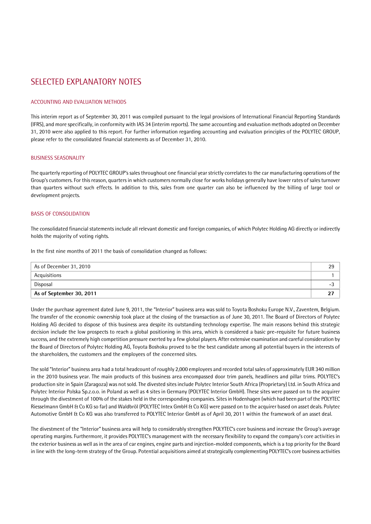### SELECTED EXPLANATORY NOTES

#### ACCOUNTING AND EVALUATION METHODS

This interim report as of September 30, 2011 was compiled pursuant to the legal provisions of International Financial Reporting Standards (IFRS), and more specifically, in conformity with IAS 34 (interim reports). The same accounting and evaluation methods adopted on December 31, 2010 were also applied to this report. For further information regarding accounting and evaluation principles of the POLYTEC GROUP, please refer to the consolidated financial statements as of December 31, 2010.

#### BUSINESS SEASONALITY

The quarterly reporting of POLYTEC GROUPís sales throughout one financial year strictly correlates to the car manufacturing operations of the Groupís customers. For this reason, quarters in which customers normally close for works holidays generally have lower rates of sales turnover than quarters without such effects. In addition to this, sales from one quarter can also be influenced by the billing of large tool or development projects.

#### BASIS OF CONSOLIDATION

The consolidated financial statements include all relevant domestic and foreign companies, of which Polytec Holding AG directly or indirectly holds the majority of voting rights.

In the first nine months of 2011 the basis of consolidation changed as follows:

| As of December 31, 2010  | 29   |
|--------------------------|------|
| Acquisitions             |      |
| Disposal                 | $-1$ |
| As of September 30, 2011 | 27   |

Under the purchase agreement dated June 9, 2011, the "Interior" business area was sold to Toyota Boshoku Europe N.V., Zaventem, Belgium. The transfer of the economic ownership took place at the closing of the transaction as of June 30, 2011. The Board of Directors of Polytec Holding AG decided to dispose of this business area despite its outstanding technology expertise. The main reasons behind this strategic decision include the low prospects to reach a global positioning in this area, which is considered a basic pre-requisite for future business success, and the extremely high competition pressure exerted by a few global players. After extensive examination and careful consideration by the Board of Directors of Polytec Holding AG, Toyota Boshoku proved to be the best candidate among all potential buyers in the interests of the shareholders, the customers and the employees of the concerned sites.

The sold "Interior" business area had a total headcount of roughly 2,000 employees and recorded total sales of approximately EUR 340 million in the 2010 business year. The main products of this business area encompassed door trim panels, headliners and pillar trims. POLYTEC's production site in Spain (Zaragoza) was not sold. The divested sites include Polytec Interior South Africa (Proprietary) Ltd. in South Africa and Polytec Interior Polska Sp.z.o.o. in Poland aswell as 4 sites in Germany (POLYTEC Interior GmbH). These sites were passed on to the acquirer through the divestment of 100% of the stakes held in the corresponding companies. Sites in Hodenhagen (which had been part ofthe POLYTEC Riesselmann GmbH & Co KG so far) and Waldbröl (POLYTEC Intex GmbH & Co KG) were passed on to the acquirer based on asset deals. Polytec Automotive GmbH & Co KG was also transferred to POLYTEC Interior GmbH as of April 30, 2011 within the framework of an asset deal.

The divestment of the "Interior" business area will help to considerably strengthen POLYTEC's core business and increase the Group's average operating margins. Furthermore, it provides POLYTEC's management with the necessary flexibility to expand the company's core activities in the exterior business as well as in the area of car engines, engine parts and injection-molded components, which is a top priority for the Board in line with the long-term strategy of the Group. Potential acquisitions aimed at strategically complementing POLYTEC's core business activities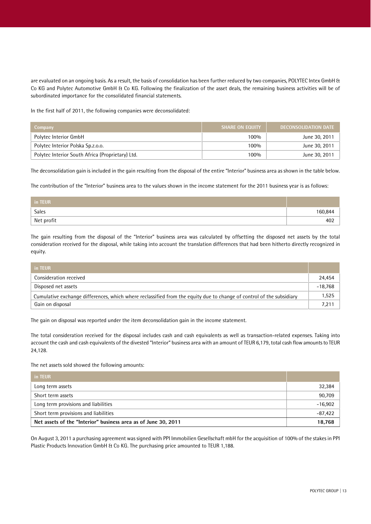are evaluated on an ongoing basis. As a result, the basis of consolidation has been further reduced by two companies, POLYTEC Intex GmbH & Co KG and Polytec Automotive GmbH & Co KG. Following the finalization of the asset deals, the remaining business activities will be of subordinated importance for the consolidated financial statements.

In the first half of 2011, the following companies were deconsolidated:

| Company                                          | <b>SHARE ON EQUITY</b> | DECONSOLIDATION DATE |
|--------------------------------------------------|------------------------|----------------------|
| Polytec Interior GmbH                            | 100%                   | June 30, 2011        |
| Polytec Interior Polska Sp.z.o.o.                | 100%                   | June 30, 2011        |
| Polytec Interior South Africa (Proprietary) Ltd. | 100%                   | June 30, 2011        |

The deconsolidation gain is included in the gain resulting from the disposal of the entire "Interior" business area as shown in the table below.

The contribution of the "Interior" business area to the values shown in the income statement for the 2011 business year is as follows:

| in TEUR    |        |
|------------|--------|
| Sales      | 60,844 |
| Net profit | 402    |

The gain resulting from the disposal of the "Interior" business area was calculated by offsetting the disposed net assets by the total consideration received for the disposal, while taking into account the translation differences that had been hitherto directly recognized in equity.

| in TEUR                                                                                                              |           |
|----------------------------------------------------------------------------------------------------------------------|-----------|
| Consideration received                                                                                               | 24,454    |
| Disposed net assets                                                                                                  | $-18.768$ |
| Cumulative exchange differences, which where reclassified from the equity due to change of control of the subsidiary | 1,525     |
| Gain on disposal                                                                                                     | 7,211     |

The gain on disposal was reported under the item deconsolidation gain in the income statement.

The total consideration received for the disposal includes cash and cash equivalents as well as transaction-related expenses. Taking into account the cash and cash equivalents of the divested "Interior" business area with an amount of TEUR 6,179, total cash flow amounts to TEUR 24,128.

The net assets sold showed the following amounts:

| in TEUR                                                        |           |
|----------------------------------------------------------------|-----------|
| Long term assets                                               | 32,384    |
| Short term assets                                              | 90,709    |
| Long term provisions and liabilities                           | $-16,902$ |
| Short term provisions and liabilities                          | $-87,422$ |
| Net assets of the "Interior" business area as of June 30, 2011 | 18,768    |

On August 3,2011 a purchasing agreement was signed with PPI Immobilien Gesellschaft mbH for the acquisition of 100% of the stakes in PPI Plastic Products Innovation GmbH & Co KG. The purchasing price amounted to TEUR 1,188.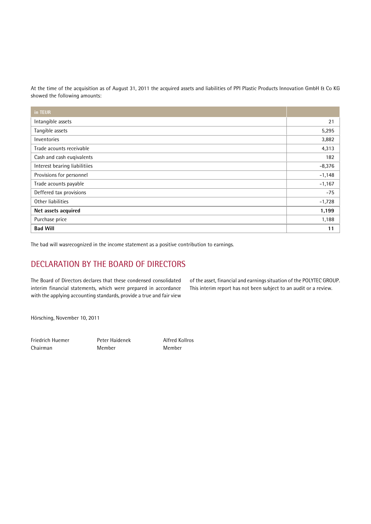At the time of the acquisition as of August 31, 2011 the acquired assets and liabilities of PPI Plastic Products Innovation GmbH & Co KG showed the following amounts:

| in TEUR                       |          |
|-------------------------------|----------|
| Intangible assets             | 21       |
| Tangible assets               | 5,295    |
| Inventories                   | 3,882    |
| Trade acounts receivable      | 4,313    |
| Cash and cash euqivalents     | 182      |
| Interest bearing liabilitiies | $-8,376$ |
| Provisions for personnel      | $-1,148$ |
| Trade acounts payable         | $-1,167$ |
| Deffered tax provisions       | $-75$    |
| Other liabilities             | $-1,728$ |
| Net assets acquired           | 1,199    |
| Purchase price                | 1,188    |
| <b>Bad Will</b>               | 11       |

The bad will wasrecognized in the income statement as a positive contribution to earnings.

# DECLARATION BY THE BOARD OF DIRECTORS

The Board of Directors declares that these condensed consolidated interim financial statements, which were prepared in accordance with the applying accounting standards, provide a true and fair view

of the asset, financial and earnings situation of the POLYTEC GROUP. This interim report has not been subject to an audit or a review.

Hörsching, November 10, 2011

Friedrich Huemer Peter Haidenek Alfred Kollros Chairman Member Member